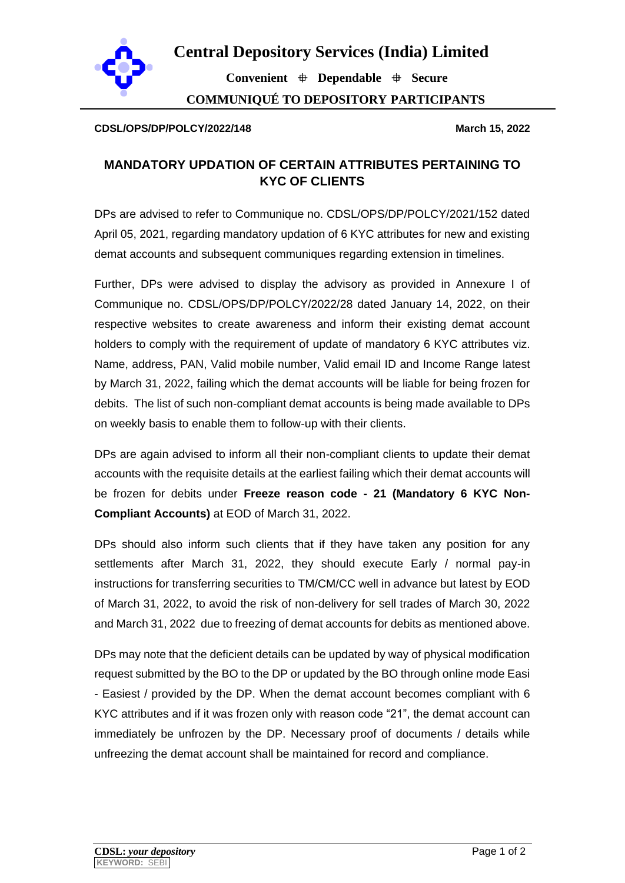

**Central Depository Services (India) Limited**

**Convenient Dependable Secure COMMUNIQUÉ TO DEPOSITORY PARTICIPANTS**

## **CDSL/OPS/DP/POLCY/2022/148 PARTICIPANTS March 15, 2022**

## **MANDATORY UPDATION OF CERTAIN ATTRIBUTES PERTAINING TO KYC OF CLIENTS**

DPs are advised to refer to Communique no. CDSL/OPS/DP/POLCY/2021/152 dated April 05, 2021, regarding mandatory updation of 6 KYC attributes for new and existing demat accounts and subsequent communiques regarding extension in timelines.

Further, DPs were advised to display the advisory as provided in Annexure I of Communique no. CDSL/OPS/DP/POLCY/2022/28 dated January 14, 2022, on their respective websites to create awareness and inform their existing demat account holders to comply with the requirement of update of mandatory 6 KYC attributes viz. Name, address, PAN, Valid mobile number, Valid email ID and Income Range latest by March 31, 2022, failing which the demat accounts will be liable for being frozen for debits. The list of such non-compliant demat accounts is being made available to DPs on weekly basis to enable them to follow-up with their clients.

DPs are again advised to inform all their non-compliant clients to update their demat accounts with the requisite details at the earliest failing which their demat accounts will be frozen for debits under **Freeze reason code - 21 (Mandatory 6 KYC Non-Compliant Accounts)** at EOD of March 31, 2022.

DPs should also inform such clients that if they have taken any position for any settlements after March 31, 2022, they should execute Early / normal pay-in instructions for transferring securities to TM/CM/CC well in advance but latest by EOD of March 31, 2022, to avoid the risk of non-delivery for sell trades of March 30, 2022 and March 31, 2022 due to freezing of demat accounts for debits as mentioned above.

DPs may note that the deficient details can be updated by way of physical modification request submitted by the BO to the DP or updated by the BO through online mode Easi - Easiest / provided by the DP. When the demat account becomes compliant with 6 KYC attributes and if it was frozen only with reason code "21", the demat account can immediately be unfrozen by the DP. Necessary proof of documents / details while unfreezing the demat account shall be maintained for record and compliance.